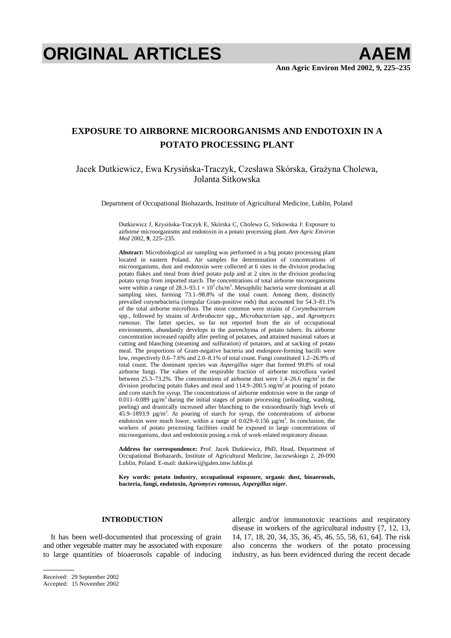# **ORIGINAL ARTICLES AAEM**

## **EXPOSURE TO AIRBORNE MICROORGANISMS AND ENDOTOXIN IN A POTATO PROCESSING PLANT**

## Jacek Dutkiewicz, Ewa Krysińska-Traczyk, Czesława Skórska, Grażyna Cholewa, Jolanta Sitkowska

Department of Occupational Biohazards, Institute of Agricultural Medicine, Lublin, Poland

Dutkiewicz J, Krysińska-Traczyk E, Skórska C, Cholewa G, Sitkowska J: Exposure to airborne microorganisms and endotoxin in a potato processing plant. *Ann Agric Environ Med* 2002, **9**, 225–235.

**Abstract:** Microbiological air sampling was performed in a big potato processing plant located in eastern Poland. Air samples for determination of concentrations of microorganisms, dust and endotoxin were collected at 6 sites in the division producing potato flakes and meal from dried potato pulp and at 2 sites in the division producing potato syrup from imported starch. The concentrations of total airborne microorganisms were within a range of  $28.3-93.1 \times 10^3$  cfu/m<sup>3</sup>. Mesophilic bacteria were dominant at all sampling sites, forming 73.1–98.8% of the total count. Among them, distinctly prevailed corynebacteria (irregular Gram-positive rods) that accounted for 54.3–81.1% of the total airborne microflora. The most common were strains of *Corynebacterium*  spp., followed by strains of *Arthrobacter* spp., *Microbacterium* spp., and *Agromyces ramosus*. The latter species, so far not reported from the air of occupational environments, abundantly develops in the parenchyma of potato tubers. Its airborne concentration increased rapidly after peeling of potatoes, and attained maximal values at cutting and blanching (steaming and sulfuration) of potatoes, and at sacking of potato meal. The proportions of Gram-negative bacteria and endospore-forming bacilli were low, respectively 0.6–7.6% and 2.0–8.1% of total count. Fungi constituted 1.2–26.9% of total count. The dominant species was *Aspergillus niger* that formed 99.8% of total airborne fungi. The values of the respirable fraction of airborne microflora varied between 25.3–73.2%. The concentrations of airborne dust were  $1.4-26.6$  mg/m<sup>3</sup> in the division producing potato flakes and meal and  $114.9-200.5$  mg/m<sup>3</sup> at pouring of potato and corn starch for syrup. The concentrations of airborne endotoxin were in the range of 0.011–0.089  $\mu$ g/m<sup>3</sup> during the initial stages of potato processing (unloading, washing, peeling) and drastically increased after blanching to the extraordinarily high levels of  $45.9-1893.9$   $\mu$ g/m<sup>3</sup>. At pouring of starch for syrup, the concentrations of airborne endotoxin were much lower, within a range of  $0.029-0.156 \mu g/m<sup>3</sup>$ . In conclusion, the workers of potato processing facilities could be exposed to large concentrations of microorganisms, dust and endotoxin posing a risk of work-related respiratory disease.

**Address for correspondence:** Prof. Jacek Dutkiewicz, PhD, Head, Department of Occupational Biohazards, Institute of Agricultural Medicine, Jaczewskiego 2, 20-090 Lublin, Poland. E-mail: dutkiewi@galen.imw.lublin.pl

**Key words: potato industry, occupational exposure, organic dust, bioaerosols, bacteria, fungi, endotoxin,** *Agromyces ramosus, Aspergillus niger***.** 

#### **INTRODUCTION**

It has been well-documented that processing of grain and other vegetable matter may be associated with exposure to large quantities of bioaerosols capable of inducing allergic and/or immunotoxic reactions and respiratory disease in workers of the agricultural industry [7, 12, 13, 14, 17, 18, 20, 34, 35, 36, 45, 46, 55, 58, 61, 64]. The risk also concerns the workers of the potato processing industry, as has been evidenced during the recent decade

Received: 29 September 2002

Accepted: 15 November 2002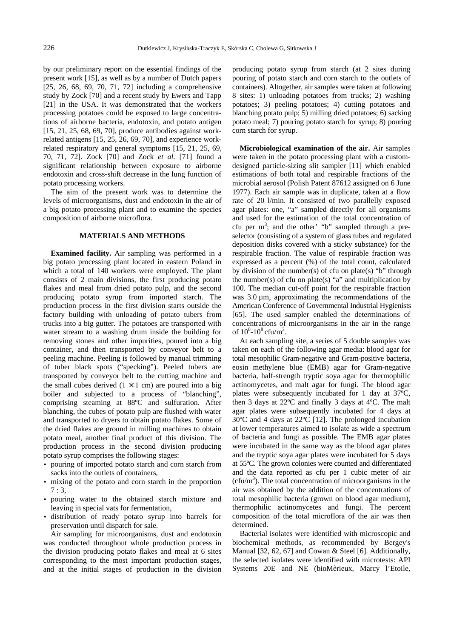by our preliminary report on the essential findings of the present work [15], as well as by a number of Dutch papers [25, 26, 68, 69, 70, 71, 72] including a comprehensive study by Zock [70] and a recent study by Ewers and Tapp [21] in the USA. It was demonstrated that the workers processing potatoes could be exposed to large concentrations of airborne bacteria, endotoxin, and potato antigen [15, 21, 25, 68, 69, 70], produce antibodies against workrelated antigens [15, 25, 26, 69, 70], and experience workrelated respiratory and general symptoms [15, 21, 25, 69, 70, 71, 72]. Zock [70] and Zock *et al.* [71] found a significant relationship between exposure to airborne endotoxin and cross-shift decrease in the lung function of potato processing workers.

The aim of the present work was to determine the levels of microorganisms, dust and endotoxin in the air of a big potato processing plant and to examine the species composition of airborne microflora.

### **MATERIALS AND METHODS**

**Examined facility.** Air sampling was performed in a big potato processing plant located in eastern Poland in which a total of 140 workers were employed. The plant consists of 2 main divisions, the first producing potato flakes and meal from dried potato pulp, and the second producing potato syrup from imported starch. The production process in the first division starts outside the factory building with unloading of potato tubers from trucks into a big gutter. The potatoes are transported with water stream to a washing drum inside the building for removing stones and other impurities, poured into a big container, and then transported by conveyor belt to a peeling machine. Peeling is followed by manual trimming of tuber black spots ("specking"). Peeled tubers are transported by conveyor belt to the cutting machine and the small cubes derived  $(1 \times 1$  cm) are poured into a big boiler and subjected to a process of "blanching", comprising steaming at 88ºC and sulfuration. After blanching, the cubes of potato pulp are flushed with water and transported to dryers to obtain potato flakes. Some of the dried flakes are ground in milling machines to obtain potato meal, another final product of this division. The production process in the second division producing potato syrup comprises the following stages:

- pouring of imported potato starch and corn starch from sacks into the outlets of containers,
- mixing of the potato and corn starch in the proportion  $7:3$ ,
- pouring water to the obtained starch mixture and leaving in special vats for fermentation,
- distribution of ready potato syrup into barrels for preservation until dispatch for sale.

Air sampling for microorganisms, dust and endotoxin was conducted throughout whole production process in the division producing potato flakes and meal at 6 sites corresponding to the most important production stages, and at the initial stages of production in the division producing potato syrup from starch (at 2 sites during pouring of potato starch and corn starch to the outlets of containers). Altogether, air samples were taken at following 8 sites: 1) unloading potatoes from trucks; 2) washing potatoes; 3) peeling potatoes; 4) cutting potatoes and blanching potato pulp; 5) milling dried potatoes; 6) sacking potato meal; 7) pouring potato starch for syrup; 8) pouring corn starch for syrup.

**Microbiological examination of the air.** Air samples were taken in the potato processing plant with a customdesigned particle-sizing slit sampler [11] which enabled estimations of both total and respirable fractions of the microbial aerosol (Polish Patent 87612 assigned on 6 June 1977). Each air sample was in duplicate, taken at a flow rate of 20 l/min. It consisted of two parallelly exposed agar plates: one, "a" sampled directly for all organisms and used for the estimation of the total concentration of cfu per  $m^3$ ; and the other' "b" sampled through a preselector (consisting of a system of glass tubes and regulated deposition disks covered with a sticky substance) for the respirable fraction. The value of respirable fraction was expressed as a percent (%) of the total count, calculated by division of the number(s) of cfu on plate(s) "b" through the number(s) of cfu on plate(s) "a" and multiplication by 100. The median cut-off point for the respirable fraction was  $3.0 \mu m$ , approximating the recommendations of the American Conference of Governmental Industrial Hygienists [65]. The used sampler enabled the determinations of concentrations of microorganisms in the air in the range of  $10^0$ - $10^8$  cfu/m<sup>3</sup>.

At each sampling site, a series of 5 double samples was taken on each of the following agar media: blood agar for total mesophilic Gram-negative and Gram-positive bacteria, eosin methylene blue (EMB) agar for Gram-negative bacteria, half-strength tryptic soya agar for thermophilic actinomycetes, and malt agar for fungi. The blood agar plates were subsequently incubated for 1 day at 37ºC, then 3 days at 22ºC and finally 3 days at 4ºC. The malt agar plates were subsequently incubated for 4 days at 30ºC and 4 days at 22ºC [12]. The prolonged incubation at lower temperatures aimed to isolate as wide a spectrum of bacteria and fungi as possible. The EMB agar plates were incubated in the same way as the blood agar plates and the tryptic soya agar plates were incubated for 5 days at 55ºC. The grown colonies were counted and differentiated and the data reported as cfu per 1 cubic meter of air  $(cfu/m<sup>3</sup>)$ . The total concentration of microorganisms in the air was obtained by the addition of the concentrations of total mesophilic bacteria (grown on blood agar medium), thermophilic actinomycetes and fungi. The percent composition of the total microflora of the air was then determined.

Bacterial isolates were identified with microscopic and biochemical methods, as recommended by Bergey's Manual [32, 62, 67] and Cowan & Steel [6]. Additionally, the selected isolates were identified with microtests: API Systems 20E and NE (bioMèrieux, Marcy l'Etoile,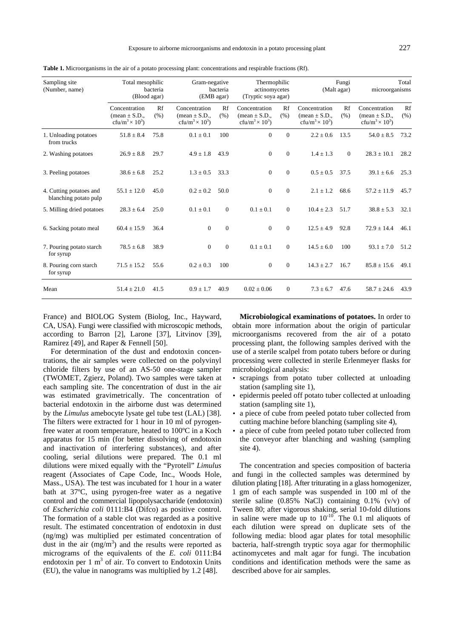| Sampling site<br>(Number, name)                  | Total mesophilic<br>bacteria<br>(Blood agar)                                        |            | Gram-negative<br>bacteria<br>(EMB agar)                                             |              | Thermophilic<br>actinomycetes<br>(Tryptic soya agar)                                |              | Fungi<br>(Malt agar)                                                                |            | Total<br>microorganisms                                                                    |            |
|--------------------------------------------------|-------------------------------------------------------------------------------------|------------|-------------------------------------------------------------------------------------|--------------|-------------------------------------------------------------------------------------|--------------|-------------------------------------------------------------------------------------|------------|--------------------------------------------------------------------------------------------|------------|
|                                                  | Concentration<br>(mean $\pm$ S.D.,<br>cfu/m <sup>3</sup> $\times$ 10 <sup>3</sup> ) | Rf<br>(% ) | Concentration<br>(mean $\pm$ S.D.,<br>cfu/m <sup>3</sup> $\times$ 10 <sup>3</sup> ) | Rf<br>(% )   | Concentration<br>(mean $\pm$ S.D.,<br>cfu/m <sup>3</sup> $\times$ 10 <sup>3</sup> ) | Rf<br>(% )   | Concentration<br>(mean $\pm$ S.D.,<br>cfu/m <sup>3</sup> $\times$ 10 <sup>3</sup> ) | Rf<br>(% ) | Concentration<br>$(\text{mean} \pm S.D.,$<br>cfu/m <sup>3</sup> $\times$ 10 <sup>3</sup> ) | Rf<br>(% ) |
| 1. Unloading potatoes<br>from trucks             | $51.8 \pm 8.4$                                                                      | 75.8       | $0.1 \pm 0.1$                                                                       | 100          | $\Omega$                                                                            | $\Omega$     | $2.2 \pm 0.6$                                                                       | 13.5       | $54.0 \pm 8.5$                                                                             | 73.2       |
| 2. Washing potatoes                              | $26.9 \pm 8.8$                                                                      | 29.7       | $4.9 \pm 1.8$                                                                       | 43.9         | $\mathbf{0}$                                                                        | $\Omega$     | $1.4 \pm 1.3$                                                                       | $\theta$   | $28.3 \pm 10.1$                                                                            | 28.2       |
| 3. Peeling potatoes                              | $38.6 \pm 6.8$                                                                      | 25.2       | $1.3 \pm 0.5$                                                                       | 33.3         | $\overline{0}$                                                                      | $\Omega$     | $0.5 \pm 0.5$                                                                       | 37.5       | $39.1 \pm 6.6$                                                                             | 25.3       |
| 4. Cutting potatoes and<br>blanching potato pulp | $55.1 \pm 12.0$                                                                     | 45.0       | $0.2 \pm 0.2$                                                                       | 50.0         | $\Omega$                                                                            | $\Omega$     | $2.1 \pm 1.2$                                                                       | 68.6       | $57.2 \pm 11.9$                                                                            | 45.7       |
| 5. Milling dried potatoes                        | $28.3 \pm 6.4$                                                                      | 25.0       | $0.1 \pm 0.1$                                                                       | $\Omega$     | $0.1 \pm 0.1$                                                                       | $\Omega$     | $10.4 \pm 2.3$                                                                      | 51.7       | $38.8 \pm 5.3$                                                                             | 32.1       |
| 6. Sacking potato meal                           | $60.4 \pm 15.9$                                                                     | 36.4       | $\Omega$                                                                            | $\Omega$     | $\Omega$                                                                            | $\Omega$     | $12.5 + 4.9$                                                                        | 92.8       | $72.9 \pm 14.4$                                                                            | 46.1       |
| 7. Pouring potato starch<br>for syrup            | $78.5 \pm 6.8$                                                                      | 38.9       | $\overline{0}$                                                                      | $\mathbf{0}$ | $0.1 \pm 0.1$                                                                       | $\Omega$     | $14.5 \pm 6.0$                                                                      | 100        | $93.1 \pm 7.0$                                                                             | 51.2       |
| 8. Pouring corn starch<br>for syrup              | $71.5 \pm 15.2$                                                                     | 55.6       | $0.2 \pm 0.3$                                                                       | 100          | $\overline{0}$                                                                      | $\mathbf{0}$ | $14.3 \pm 2.7$                                                                      | 16.7       | $85.8 \pm 15.6$                                                                            | 49.1       |
| Mean                                             | $51.4 + 21.0$                                                                       | 41.5       | $0.9 \pm 1.7$                                                                       | 40.9         | $0.02 + 0.06$                                                                       | $\mathbf{0}$ | $7.3 \pm 6.7$                                                                       | 47.6       | $58.7 \pm 24.6$                                                                            | 43.9       |

**Table 1.** Microorganisms in the air of a potato processing plant: concentrations and respirable fractions (Rf).

France) and BIOLOG System (Biolog, Inc., Hayward, CA, USA). Fungi were classified with microscopic methods, according to Barron [2], Larone [37], Litvinov [39], Ramirez [49], and Raper & Fennell [50].

For determination of the dust and endotoxin concentrations, the air samples were collected on the polyvinyl chloride filters by use of an AS-50 one-stage sampler (TWOMET, Zgierz, Poland). Two samples were taken at each sampling site. The concentration of dust in the air was estimated gravimetrically. The concentration of bacterial endotoxin in the airborne dust was determined by the *Limulus* amebocyte lysate gel tube test (LAL) [38]. The filters were extracted for 1 hour in 10 ml of pyrogenfree water at room temperature, heated to 100ºC in a Koch apparatus for 15 min (for better dissolving of endotoxin and inactivation of interfering substances), and after cooling, serial dilutions were prepared. The 0.1 ml dilutions were mixed equally with the "Pyrotell" *Limulus* reagent (Associates of Cape Code, Inc., Woods Hole, Mass., USA). The test was incubated for 1 hour in a water bath at 37ºC, using pyrogen-free water as a negative control and the commercial lipopolysaccharide (endotoxin) of *Escherichia coli* 0111:B4 (Difco) as positive control. The formation of a stable clot was regarded as a positive result. The estimated concentration of endotoxin in dust (ng/mg) was multiplied per estimated concentration of dust in the air  $(mg/m<sup>3</sup>)$  and the results were reported as micrograms of the equivalents of the *E. coli* 0111:B4 endotoxin per  $1 \text{ m}^3$  of air. To convert to Endotoxin Units (EU), the value in nanograms was multiplied by 1.2 [48].

**Microbiological examinations of potatoes.** In order to obtain more information about the origin of particular microorganisms recovered from the air of a potato processing plant, the following samples derived with the use of a sterile scalpel from potato tubers before or during processing were collected in sterile Erlenmeyer flasks for microbiological analysis:

- scrapings from potato tuber collected at unloading station (sampling site 1),
- epidermis peeled off potato tuber collected at unloading station (sampling site 1),
- a piece of cube from peeled potato tuber collected from cutting machine before blanching (sampling site 4),
- a piece of cube from peeled potato tuber collected from the conveyor after blanching and washing (sampling site 4).

The concentration and species composition of bacteria and fungi in the collected samples was determined by dilution plating [18]. After triturating in a glass homogenizer, 1 gm of each sample was suspended in 100 ml of the sterile saline (0.85% NaCl) containing 0.1% (v/v) of Tween 80; after vigorous shaking, serial 10-fold dilutions in saline were made up to  $10^{-10}$ . The 0.1 ml aliquots of each dilution were spread on duplicate sets of the following media: blood agar plates for total mesophilic bacteria, half-strength tryptic soya agar for thermophilic actinomycetes and malt agar for fungi. The incubation conditions and identification methods were the same as described above for air samples.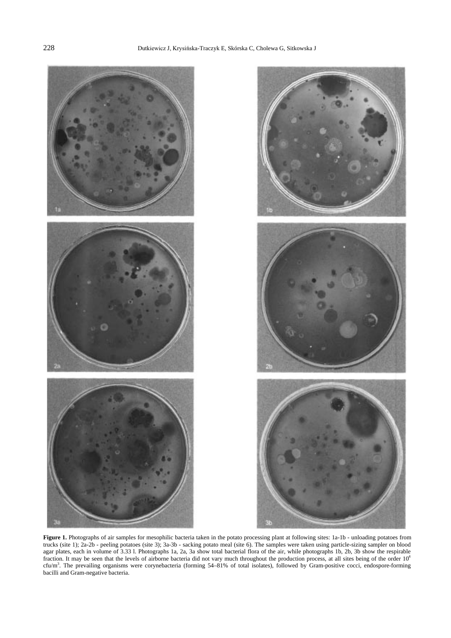

Figure 1. Photographs of air samples for mesophilic bacteria taken in the potato processing plant at following sites: 1a-1b - unloading potatoes from trucks (site 1); 2a-2b - peeling potatoes (site 3); 3a-3b - sacking potato meal (site 6). The samples were taken using particle-sizing sampler on blood agar plates, each in volume of 3.33 l. Photographs 1a, 2a, 3a show total bacterial flora of the air, while photographs 1b, 2b, 3b show the respirable fraction. It may be seen that the levels of airborne bacteria did not vary much throughout the production process, at all sites being of the order  $10^4$ cfu/m<sup>3</sup>. The prevailing organisms were corynebacteria (forming 54–81% of total isolates), followed by Gram-positive cocci, endospore-forming bacilli and Gram-negative bacteria.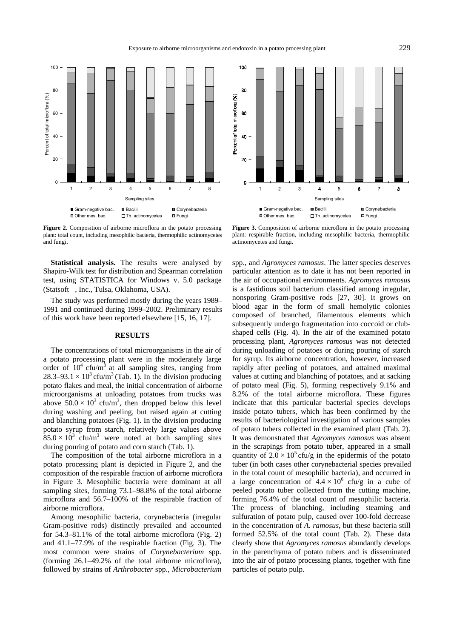

**Figure 2.** Composition of airborne microflora in the potato processing plant: total count, including mesophilic bacteria, thermophilic actinomycetes and fungi.

**Statistical analysis.** The results were analysed by Shapiro-Wilk test for distribution and Spearman correlation test, using STATISTICA for Windows v. 5.0 package (Statsoft©, Inc., Tulsa, Oklahoma, USA).

The study was performed mostly during the years 1989– 1991 and continued during 1999–2002. Preliminary results of this work have been reported elsewhere [15, 16, 17].

#### **RESULTS**

The concentrations of total microorganisms in the air of a potato processing plant were in the moderately large order of  $10^4$  cfu/m<sup>3</sup> at all sampling sites, ranging from 28.3–93.1  $\times$  10<sup>3</sup> cfu/m<sup>3</sup> (Tab. 1). In the division producing potato flakes and meal, the initial concentration of airborne microorganisms at unloading potatoes from trucks was above  $50.0 \times 10^3$  cfu/m<sup>3</sup>, then dropped below this level during washing and peeling, but raised again at cutting and blanching potatoes (Fig. 1). In the division producing potato syrup from starch, relatively large values above  $85.0 \times 10^3$  cfu/m<sup>3</sup> were noted at both sampling sites during pouring of potato and corn starch (Tab. 1).

The composition of the total airborne microflora in a potato processing plant is depicted in Figure 2, and the composition of the respirable fraction of airborne microflora in Figure 3. Mesophilic bacteria were dominant at all sampling sites, forming 73.1–98.8% of the total airborne microflora and 56.7–100% of the respirable fraction of airborne microflora.

Among mesophilic bacteria, corynebacteria (irregular Gram-positive rods) distinctly prevailed and accounted for 54.3–81.1% of the total airborne microflora (Fig. 2) and 41.1–77.9% of the respirable fraction (Fig. 3). The most common were strains of *Corynebacterium* spp. (forming 26.1–49.2% of the total airborne microflora), followed by strains of *Arthrobacter* spp., *Microbacterium* 



**Figure 3.** Composition of airborne microflora in the potato processing plant: respirable fraction, including mesophilic bacteria, thermophilic actinomycetes and fungi.

spp., and *Agromyces ramosus*. The latter species deserves particular attention as to date it has not been reported in the air of occupational environments. *Agromyces ramosus* is a fastidious soil bacterium classified among irregular, nonsporing Gram-positive rods [27, 30]. It grows on blood agar in the form of small hemolytic colonies composed of branched, filamentous elements which subsequently undergo fragmentation into coccoid or clubshaped cells (Fig. 4). In the air of the examined potato processing plant, *Agromyces ramosus* was not detected during unloading of potatoes or during pouring of starch for syrup. Its airborne concentration, however, increased rapidly after peeling of potatoes, and attained maximal values at cutting and blanching of potatoes, and at sacking of potato meal (Fig. 5), forming respectively 9.1% and 8.2% of the total airborne microflora. These figures indicate that this particular bacterial species develops inside potato tubers, which has been confirmed by the results of bacteriological investigation of various samples of potato tubers collected in the examined plant (Tab. 2). It was demonstrated that *Agromyces ramosus* was absent in the scrapings from potato tuber, appeared in a small quantity of  $2.0 \times 10^5$  cfu/g in the epidermis of the potato tuber (in both cases other corynebacterial species prevailed in the total count of mesophilic bacteria), and occurred in a large concentration of  $4.4 \times 10^6$  cfu/g in a cube of peeled potato tuber collected from the cutting machine, forming 76.4% of the total count of mesophilic bacteria. The process of blanching, including steaming and sulfuration of potato pulp, caused over 100-fold decrease in the concentration of *A. ramosus*, but these bacteria still formed 52.5% of the total count (Tab. 2). These data clearly show that *Agromyces ramosus* abundantly develops in the parenchyma of potato tubers and is disseminated into the air of potato processing plants, together with fine particles of potato pulp.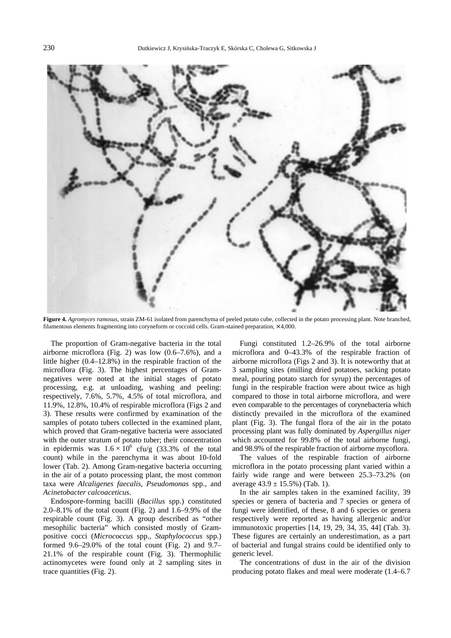

**Figure 4.** *Agromyces ramosus*, strain ZM-61 isolated from parenchyma of peeled potato cube, collected in the potato processing plant. Note branched, filamentous elements fragmenting into coryneform or coccoid cells. Gram-stained preparation, × 4,000.

The proportion of Gram-negative bacteria in the total airborne microflora (Fig. 2) was low (0.6–7.6%), and a little higher (0.4–12.8%) in the respirable fraction of the microflora (Fig. 3). The highest percentages of Gramnegatives were noted at the initial stages of potato processing, e.g. at unloading, washing and peeling: respectively, 7.6%, 5.7%, 4.5% of total microflora, and 11.9%, 12.8%, 10.4% of respirable microflora (Figs 2 and 3). These results were confirmed by examination of the samples of potato tubers collected in the examined plant, which proved that Gram-negative bacteria were associated with the outer stratum of potato tuber; their concentration in epidermis was  $1.6 \times 10^6$  cfu/g (33.3% of the total count) while in the parenchyma it was about 10-fold lower (Tab. 2). Among Gram-negative bacteria occurring in the air of a potato processing plant, the most common taxa were *Alcaligenes faecalis*, *Pseudomonas* spp., and *Acinetobacter calcoaceticus*.

Endospore-forming bacilli (*Bacillus* spp.) constituted 2.0–8.1% of the total count (Fig. 2) and 1.6–9.9% of the respirable count (Fig. 3). A group described as "other mesophilic bacteria" which consisted mostly of Grampositive cocci (*Micrococcus* spp., *Staphylococcus* spp.) formed 9.6–29.0% of the total count (Fig. 2) and 9.7– 21.1% of the respirable count (Fig. 3). Thermophilic actinomycetes were found only at 2 sampling sites in trace quantities (Fig. 2).

Fungi constituted 1.2–26.9% of the total airborne microflora and 0–43.3% of the respirable fraction of airborne microflora (Figs 2 and 3). It is noteworthy that at 3 sampling sites (milling dried potatoes, sacking potato meal, pouring potato starch for syrup) the percentages of fungi in the respirable fraction were about twice as high compared to those in total airborne microflora, and were even comparable to the percentages of corynebacteria which distinctly prevailed in the microflora of the examined plant (Fig. 3). The fungal flora of the air in the potato processing plant was fully dominated by *Aspergillus niger*  which accounted for 99.8% of the total airborne fungi, and 98.9% of the respirable fraction of airborne mycoflora.

The values of the respirable fraction of airborne microflora in the potato processing plant varied within a fairly wide range and were between 25.3–73.2% (on average  $43.9 \pm 15.5\%$ ) (Tab. 1).

In the air samples taken in the examined facility, 39 species or genera of bacteria and 7 species or genera of fungi were identified, of these, 8 and 6 species or genera respectively were reported as having allergenic and/or immunotoxic properties [14, 19, 29, 34, 35, 44] (Tab. 3). These figures are certainly an underestimation, as a part of bacterial and fungal strains could be identified only to generic level.

The concentrations of dust in the air of the division producing potato flakes and meal were moderate (1.4–6.7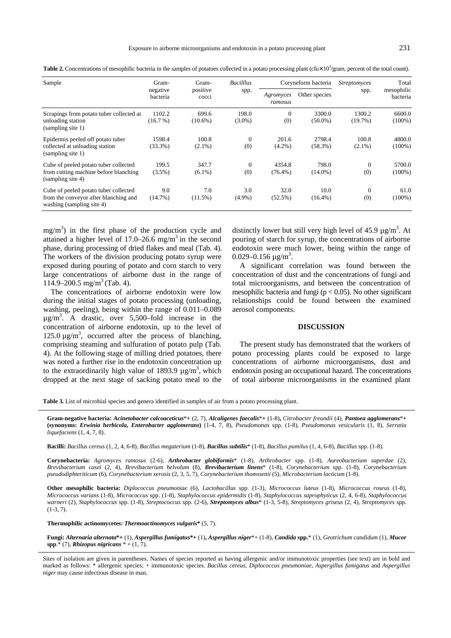| I      |
|--------|
| ٠<br>× |

Table 2. Concentrations of mesophilic bacteria in the samples of potatoes collected in a potato processing plant (cfu $\times$  10<sup>3</sup>/gram, percent of the total count).

| Sample                                                                                                      | Gram-                | Gram-<br>positive<br>cocci | <b>Bacillus</b><br>spp. |                       | Coryneform bacteria  | <i>Streptomyces</i><br>spp. | Total<br>mesophilic<br>bacteria |
|-------------------------------------------------------------------------------------------------------------|----------------------|----------------------------|-------------------------|-----------------------|----------------------|-----------------------------|---------------------------------|
|                                                                                                             | negative<br>bacteria |                            |                         | Agromyces<br>ramosus  | Other species        |                             |                                 |
| Scrapings from potato tuber collected at<br>unloading station<br>(sampling site 1)                          | 1102.2<br>(16.7%)    | 699.6<br>$(10.6\%)$        | 198.0<br>$(3.0\%)$      | $\overline{0}$<br>(0) | 3300.0<br>$(50.0\%)$ | 1300.2<br>(19.7%)           | 6600.0<br>$(100\%)$             |
| Epidermis peeled off potato tuber<br>collected at unloading station<br>(sampling site 1)                    | 1598.4<br>$(33.3\%)$ | 100.8<br>$(2.1\%)$         | $\theta$<br>(0)         | 201.6<br>$(4.2\%)$    | 2798.4<br>$(58.3\%)$ | 100.8<br>$(2.1\%)$          | 4800.0<br>$(100\%)$             |
| Cube of peeled potato tuber collected<br>from cutting machine before blanching<br>(sampling site 4)         | 199.5<br>$(3.5\%)$   | 347.7<br>$(6.1\%)$         | $\theta$<br>(0)         | 4354.8<br>$(76.4\%)$  | 798.0<br>$(14.0\%)$  | $\overline{0}$<br>(0)       | 5700.0<br>$(100\%)$             |
| Cube of peeled potato tuber collected<br>from the conveyor after blanching and<br>washing (sampling site 4) | 9.0<br>(14.7%)       | 7.0<br>(11.5%)             | 3.0<br>$(4.9\%)$        | 32.0<br>$(52.5\%)$    | 10.0<br>$(16.4\%)$   | 0<br>(0)                    | 61.0<br>$(100\%)$               |

 $mg/m<sup>3</sup>$ ) in the first phase of the production cycle and attained a higher level of  $17.0-26.6$  mg/m<sup>3</sup> in the second phase, during processing of dried flakes and meal (Tab. 4). The workers of the division producing potato syrup were exposed during pouring of potato and corn starch to very large concentrations of airborne dust in the range of  $114.9 - 200.5$  mg/m<sup>3</sup> (Tab. 4).

The concentrations of airborne endotoxin were low during the initial stages of potato processing (unloading, washing, peeling), being within the range of 0.011–0.089  $\mu$ g/m<sup>3</sup>. A drastic, over 5,500–fold increase in the concentration of airborne endotoxin, up to the level of  $125.0 \,\mathrm{\upmu}\mathrm{g/m}^3$ , occurred after the process of blanching, comprising steaming and sulfuration of potato pulp (Tab. 4). At the following stage of milling dried potatoes, there was noted a further rise in the endotoxin concentration up to the extraordinarily high value of 1893.9  $\mu$ g/m<sup>3</sup>, which dropped at the next stage of sacking potato meal to the

distinctly lower but still very high level of 45.9  $\mu$ g/m<sup>3</sup>. At pouring of starch for syrup, the concentrations of airborne endotoxin were much lower, being within the range of 0.029–0.156  $\mu$ g/m<sup>3</sup>.

A significant correlation was found between the concentration of dust and the concentrations of fungi and total microorganisms, and between the concentration of mesophilic bacteria and fungi ( $p < 0.05$ ). No other significant relationships could be found between the examined aerosol components.

#### **DISCUSSION**

The present study has demonstrated that the workers of potato processing plants could be exposed to large concentrations of airborne microorganisms, dust and endotoxin posing an occupational hazard. The concentrations of total airborne microorganisms in the examined plant

**Table 3.** List of microbial species and genera identified in samples of air from a potato processing plant.

**Gram-negative bacteria:** *Acinetobacter calcoaceticus*\***+** (2, 7), *Alcaligenes faecalis*\***+** (1-8)**,** *Citrobacter freundii* (4), *Pantoea agglomerans*\***+ (synonyms:** *Erwinia herbicola, Enterobacter agglomerans***)** (1-4, 7, 8), *Pseudomonas* spp. (1-8), *Pseudomonas vesicularis* (1, 8), *Serratia liquefaciens* (1, 4, 7, 8).

**Bacilli:** *Bacillus cereus* (1, 2, 4, 6-8), *Bacillus megaterium* (1-8)*, Bacillus subtilis*\* (1-8), *Bacillus pumilus* (1, 4, 6-8), *Bacillus* spp. (1-8).

**Corynebacteria:** *Agromyces ramosus* (2-6), *Arthrobacter globiformis*\* (1-8), *Arthrobacter* spp. (1-8), *Aureobacterium saperdae* (2), *Brevibacterium casei* (2, 4), *Brevibacterium helvolum* (8), *Brevibacterium linens*\* (1-8), *Corynebacterium* spp. (1-8), *Corynebacterium pseudodiphteriticum* (6), *Corynebacterium xerosis* (2, 3, 5, 7), *Corynebacterium thomssenii* (5), *Microbacterium lacticum* (1-8).

**Other mesophilic bacteria:** *Diplococcus pneumoniae* (6), *Lactobacillus* spp. (1-3), *Micrococcus luteus* (1-8), *Micrococcus roseus* (1-8), *Micrococcus varians* (1-8), *Micrococcus* spp. (1-8), *Staphylococcus epidermidis* (1-8)*, Staphylococcus saprophyticus* (2, 4, 6-8)*, Staphylococcus warneri* (2), *Staphylococcus* spp. (1-8), *Streptococcus* spp. (2-6), *Streptomyces albus*\* (1-3, 5-8), *Streptomyces griseus* (2, 4), *Streptomyces* spp.  $(1-3, 7)$ .

**Thermophilic actinomycetes:** *Thermoactinomyces vulgaris***\*** (5, 7).

**Fungi:** *Alternaria alternata***\*+** (1), *Aspergillus fumigatus***\*+** (1)**,** *Aspergillus niger*\*+ (1-8), *Candida* **spp.**\* (1), *Geotrichum candidum* (1), *Mucor*  **spp**.\* (7), *Rhizopus nigricans \** + (1, 7).

Sites of isolation are given in parentheses. Names of species reported as having allergenic and/or immunotoxic properties (see text) are in bold and marked as follows: \* allergenic species; + immunotoxic species. *Bacillus cereus, Diplococcus pneumoniae, Aspergillus fumigatus* and *Aspergillus niger* may cause infectious disease in man.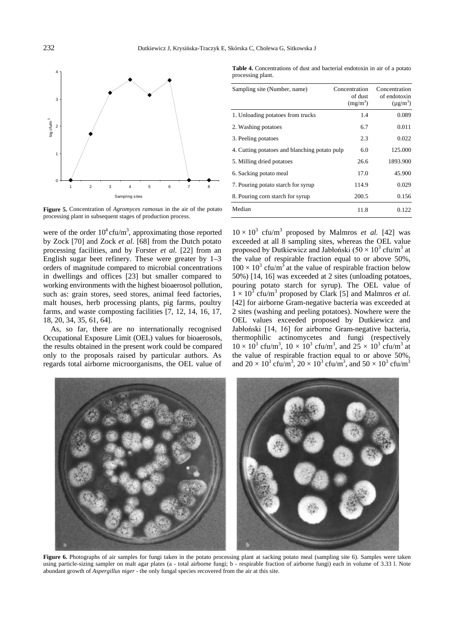

**Figure 5.** Concentration of *Agromyces ramosus* in the air of the potato processing plant in subsequent stages of production process.

were of the order  $10^4$  cfu/m<sup>3</sup>, approximating those reported by Zock [70] and Zock *et al.* [68] from the Dutch potato processing facilities, and by Forster *et al.* [22] from an English sugar beet refinery. These were greater by 1–3 orders of magnitude compared to microbial concentrations in dwellings and offices [23] but smaller compared to working environments with the highest bioaerosol pollution, such as: grain stores, seed stores, animal feed factories, malt houses, herb processing plants, pig farms, poultry farms, and waste composting facilities [7, 12, 14, 16, 17, 18, 20, 34, 35, 61, 64].

As, so far, there are no internationally recognised Occupational Exposure Limit (OEL) values for bioaerosols, the results obtained in the present work could be compared only to the proposals raised by particular authors. As regards total airborne microorganisms, the OEL value of

**Table 4.** Concentrations of dust and bacterial endotoxin in air of a potato processing plant.

| Sampling site (Number, name)                  | Concentration<br>of dust<br>$(mg/m^3)$ | Concentration<br>of endotoxin<br>$(\mu g/m^3)$ |
|-----------------------------------------------|----------------------------------------|------------------------------------------------|
| 1. Unloading potatoes from trucks             | 1.4                                    | 0.089                                          |
| 2. Washing potatoes                           | 6.7                                    | 0.011                                          |
| 3. Peeling potatoes                           | 2.3                                    | 0.022                                          |
| 4. Cutting potatoes and blanching potato pulp | 6.0                                    | 125.000                                        |
| 5. Milling dried potatoes                     | 26.6                                   | 1893.900                                       |
| 6. Sacking potato meal                        | 17.0                                   | 45.900                                         |
| 7. Pouring potato starch for syrup            | 114.9                                  | 0.029                                          |
| 8. Pouring corn starch for syrup              | 200.5                                  | 0.156                                          |
| Median                                        | 11.8                                   | 0.122                                          |

 $10 \times 10^3$  cfu/m<sup>3</sup> proposed by Malmros *et al.* [42] was exceeded at all 8 sampling sites, whereas the OEL value proposed by Dutkiewicz and Jabłoński  $(50 \times 10^3 \text{ cft/m}^3 \text{ at }$ the value of respirable fraction equal to or above 50%,  $100 \times 10^3$  cfu/m<sup>3</sup> at the value of respirable fraction below 50%) [14, 16] was exceeded at 2 sites (unloading potatoes, pouring potato starch for syrup). The OEL value of  $1 \times 10^3$  cfu/m<sup>3</sup> proposed by Clark [5] and Malmros *et al.* [42] for airborne Gram-negative bacteria was exceeded at 2 sites (washing and peeling potatoes). Nowhere were the OEL values exceeded proposed by Dutkiewicz and Jabłoński [14, 16] for airborne Gram-negative bacteria, thermophilic actinomycetes and fungi (respectively  $10 \times 10^3$  cfu/m<sup>3</sup>,  $10 \times 10^3$  cfu/m<sup>3</sup>, and  $25 \times 10^3$  cfu/m<sup>3</sup> at the value of respirable fraction equal to or above 50%, and  $20 \times 10^3$  cfu/m<sup>3</sup>,  $20 \times 10^3$  cfu/m<sup>3</sup>, and  $50 \times 10^3$  cfu/m<sup>3</sup>



Figure 6. Photographs of air samples for fungi taken in the potato processing plant at sacking potato meal (sampling site 6). Samples were taken using particle-sizing sampler on malt agar plates (a - total airborne fungi; b - respirable fraction of airborne fungi) each in volume of 3.33 l. Note abundant growth of *Aspergillus niger* - the only fungal species recovered from the air at this site.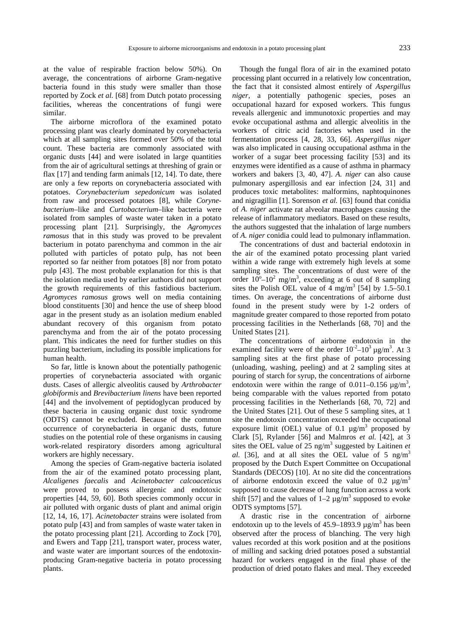at the value of respirable fraction below 50%). On average, the concentrations of airborne Gram-negative bacteria found in this study were smaller than those reported by Zock *et al.* [68] from Dutch potato processing facilities, whereas the concentrations of fungi were similar.

The airborne microflora of the examined potato processing plant was clearly dominated by corynebacteria which at all sampling sites formed over 50% of the total count. These bacteria are commonly associated with organic dusts [44] and were isolated in large quantities from the air of agricultural settings at threshing of grain or flax [17] and tending farm animals [12, 14]. To date, there are only a few reports on corynebacteria associated with potatoes. *Corynebacterium sepedonicum* was isolated from raw and processed potatoes [8], while *Corynebacterium*–like and *Curtobacterium*–like bacteria were isolated from samples of waste water taken in a potato processing plant [21]. Surprisingly, the *Agromyces ramosus* that in this study was proved to be prevalent bacterium in potato parenchyma and common in the air polluted with particles of potato pulp, has not been reported so far neither from potatoes [8] nor from potato pulp [43]. The most probable explanation for this is that the isolation media used by earlier authors did not support the growth requirements of this fastidious bacterium. *Agromyces ramosus* grows well on media containing blood constituents [30] and hence the use of sheep blood agar in the present study as an isolation medium enabled abundant recovery of this organism from potato parenchyma and from the air of the potato processing plant. This indicates the need for further studies on this puzzling bacterium, including its possible implications for human health.

So far, little is known about the potentially pathogenic properties of corynebacteria associated with organic dusts. Cases of allergic alveolitis caused by *Arthrobacter globiformis* and *Brevibacterium linens* have been reported [44] and the involvement of peptidoglycan produced by these bacteria in causing organic dust toxic syndrome (ODTS) cannot be excluded. Because of the common occurrence of corynebacteria in organic dusts, future studies on the potential role of these organisms in causing work-related respiratory disorders among agricultural workers are highly necessary.

Among the species of Gram-negative bacteria isolated from the air of the examined potato processing plant, *Alcaligenes faecalis* and *Acinetobacter calcoaceticus*  were proved to possess allergenic and endotoxic properties [44, 59, 60]. Both species commonly occur in air polluted with organic dusts of plant and animal origin [12, 14, 16, 17]. *Acinetobacter* strains were isolated from potato pulp [43] and from samples of waste water taken in the potato processing plant [21]. According to Zock [70], and Ewers and Tapp [21], transport water, process water, and waste water are important sources of the endotoxinproducing Gram-negative bacteria in potato processing plants.

Though the fungal flora of air in the examined potato processing plant occurred in a relatively low concentration, the fact that it consisted almost entirely of *Aspergillus niger,* a potentially pathogenic species, poses an occupational hazard for exposed workers. This fungus reveals allergenic and immunotoxic properties and may evoke occupational asthma and allergic alveolitis in the workers of citric acid factories when used in the fermentation process [4, 28, 33, 66]. *Aspergillus niger*  was also implicated in causing occupational asthma in the worker of a sugar beet processing facility [53] and its enzymes were identified as a cause of asthma in pharmacy workers and bakers [3, 40, 47]. *A. niger* can also cause pulmonary aspergillosis and ear infection [24, 31] and produces toxic metabolites: malformins, naphtoquinones and nigragillin [1]. Sorenson *et al.* [63] found that conidia of *A. niger* activate rat alveolar macrophages causing the release of inflammatory mediators. Based on these results, the authors suggested that the inhalation of large numbers of *A. niger* conidia could lead to pulmonary inflammation.

The concentrations of dust and bacterial endotoxin in the air of the examined potato processing plant varied within a wide range with extremely high levels at some sampling sites. The concentrations of dust were of the order  $10^{\circ}-10^2$  mg/m<sup>3</sup>, exceeding at 6 out of 8 sampling sites the Polish OEL value of  $4 \text{ mg/m}^3$  [54] by 1.5–50.1 times. On average, the concentrations of airborne dust found in the present study were by 1-2 orders of magnitude greater compared to those reported from potato processing facilities in the Netherlands [68, 70] and the United States [21].

The concentrations of airborne endotoxin in the examined facility were of the order  $10^{-2}$ – $10^{3} \mu$ g/m<sup>3</sup>. At 3 sampling sites at the first phase of potato processing (unloading, washing, peeling) and at 2 sampling sites at pouring of starch for syrup, the concentrations of airborne endotoxin were within the range of  $0.011-0.156 \mu g/m^3$ , being comparable with the values reported from potato processing facilities in the Netherlands [68, 70, 72] and the United States [21]. Out of these 5 sampling sites, at 1 site the endotoxin concentration exceeded the occupational exposure limit (OEL) value of 0.1  $\mu$ g/m<sup>3</sup> proposed by Clark [5], Rylander [56] and Malmros *et al.* [42], at 3 sites the OEL value of  $25 \text{ ng/m}^3$  suggested by Laitinen *et al.* [36], and at all sites the OEL value of 5  $ng/m<sup>3</sup>$ proposed by the Dutch Expert Committee on Occupational Standards (DECOS) [10]. At no site did the concentrations of airborne endotoxin exceed the value of 0.2  $\mu$ g/m<sup>3</sup> supposed to cause decrease of lung function across a work shift [57] and the values of  $1-2 \mu g/m^3$  supposed to evoke ODTS symptoms [57].

A drastic rise in the concentration of airborne endotoxin up to the levels of  $45.9-1893.9 \mu g/m^3$  has been observed after the process of blanching. The very high values recorded at this work position and at the positions of milling and sacking dried potatoes posed a substantial hazard for workers engaged in the final phase of the production of dried potato flakes and meal. They exceeded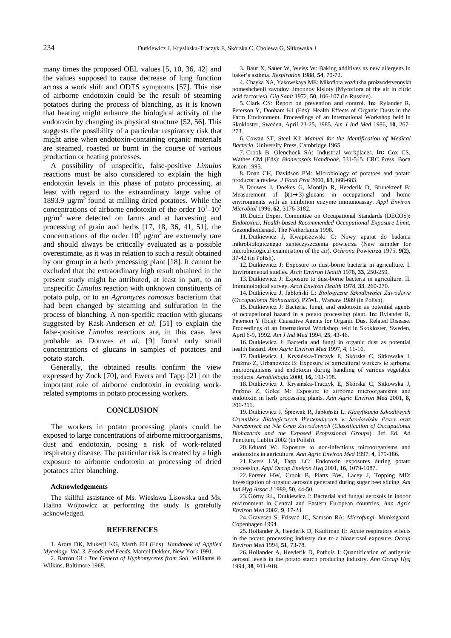many times the proposed OEL values [5, 10, 36, 42] and the values supposed to cause decrease of lung function across a work shift and ODTS symptoms [57]. This rise of airborne endotoxin could be the result of steaming potatoes during the process of blanching, as it is known that heating might enhance the biological activity of the endotoxin by changing its physical structure [52, 56]. This suggests the possibility of a particular respiratory risk that might arise when endotoxin-containing organic materials are steamed, roasted or burnt in the course of various production or heating processes.

A possibility of unspecific, false-positive *Limulus*  reactions must be also considered to explain the high endotoxin levels in this phase of potato processing, at least with regard to the extraordinary large value of 1893.9  $\mu$ g/m<sup>3</sup> found at milling dried potatoes. While the concentrations of airborne endotoxin of the order  $10^{1} - 10^{2}$  $\mu$ g/m<sup>3</sup> were detected on farms and at harvesting and processing of grain and herbs [17, 18, 36, 41, 51], the concentrations of the order  $10^3 \mu g/m^3$  are extremely rare and should always be critically evaluated as a possible overestimate, as it was in relation to such a result obtained by our group in a herb processing plant [18]. It cannot be excluded that the extraordinary high result obtained in the present study might be attributed, at least in part, to an unspecific *Limulus* reaction with unknown constituents of potato pulp, or to an *Agromyces ramosus* bacterium that had been changed by steaming and sulfuration in the process of blanching. A non-specific reaction with glucans suggested by Rask-Andersen *et al.* [51] to explain the false-positive *Limulus* reactions are, in this case, less probable as Douwes *et al.* [9] found only small concentrations of glucans in samples of potatoes and potato starch.

Generally, the obtained results confirm the view expressed by Zock [70], and Ewers and Tapp [21] on the important role of airborne endotoxin in evoking workrelated symptoms in potato processing workers.

#### **CONCLUSION**

The workers in potato processing plants could be exposed to large concentrations of airborne microorganisms, dust and endotoxin, posing a risk of work-related respiratory disease. The particular risk is created by a high exposure to airborne endotoxin at processing of dried potatoes after blanching.

#### **Acknowledgements**

The skillful assistance of Ms. Wiesława Lisowska and Ms. Halina Wójtowicz at performing the study is gratefully acknowledged.

#### **REFERENCES**

1. Arora DK, Mukerji KG, Marth EH (Eds): *Handbook of Applied Mycology. Vol. 3. Foods and Feeds.* Marcel Dekker, New York 1991.

2. Barron GL: *The Genera of Hyphomycetes from Soil*. Williams & Wilkins, Baltimore 1968.

3. Baur X, Sauer W, Weiss W: Baking additives as new allergens in baker's asthma. *Respiration* 1988, **54**, 70-72.

4. Chayka NA, Yakowskaya ME: Mikoflora vozdukha proizvodstvennykh pomeshchenii zavodov limonnoy kisloty (Mycoflora of the air in citric acid factories). *Gig Sanit* 1972, **50**, 106-107 (in Russian).

5. Clark CS: Report on prevention and control. **In:** Rylander R, Peterson Y, Donham KJ (Eds): Health Effects of Organic Dusts in the Farm Environment. Proceedings of an International Workshop held in Skokloster, Sweden, April 23-25, 1985. *Am J Ind Med* 1986, **10**, 267- 273.

6. Cowan ST, Steel KJ: *Manual for the Identification of Medical Bacteria.* University Press, Cambridge 1965.

7. Crook B, Olenchock SA: Industrial workplaces. **In:** Cox CS, Wathes CM (Eds): *Bioaerosols Handbook*, 531-545. CRC Press, Boca Raton 1995.

8. Doan CH, Davidson PM: Microbiology of potatoes and potato products: a review. *J Food Prot* 2000, **63**, 668-683.

9. Douwes J, Doekes G, Montijn R, Heederik D, Brunekreef B: Measurement of  $\beta(1\rightarrow3)$ -glucans in occupational and home environments with an inhibition enzyme immunoassay. *Appl Environ Microbiol* 1996, **62**, 3176-3182.

10. Dutch Expert Committee on Occupational Standards (DECOS): *Endotoxins, Health-based Recommended Occupational Exposure Limit.*  Gezondheidsraad, The Netherlands 1998.

11. Dutkiewicz J, Kwapiszewski C: Nowy aparat do badania mikrobiologicznego zanieczyszczenia powietrza (New sampler for microbiological examination of the air). *Ochrona Powietrza* 1975, **9(2)**, 37-42 (in Polish).

12. Dutkiewicz J: Exposure to dust-borne bacteria in agriculture. I. Environmental studies. *Arch Environ Health* 1978, **33**, 250-259.

13. Dutkiewicz J: Exposure to dust-borne bacteria in agriculture. II. Immunological survey. *Arch Environ Health* 1978, **33**, 260-270.

14. Dutkiewicz J, Jabłoński L: Biologiczne Szkodliwości Zawodowe (*Occupational Biohazards*)*.* PZWL, Warsaw 1989 (in Polish).

15. Dutkiewicz J: Bacteria, fungi, and endotoxin as potential agents of occupational hazard in a potato processing plant. **In:** Rylander R, Peterson Y (Eds): Causative Agents for Organic Dust Related Disease. Proceedings of an International Workshop held in Skokloster, Sweden, April 6-9, 1992. *Am J Ind Med* 1994, **25**, 43-46.

16. Dutkiewicz J: Bacteria and fungi in organic dust as potential health hazard. *Ann Agric Environ Med* 1997, **4**, 11-16.

17. Dutkiewicz J, Krysińska-Traczyk E, Skórska C, Sitkowska J, Prażmo Z, Urbanowicz B: Exposure of agricultural workers to airborne microorganisms and endotoxin during handling of various vegetable products. *Aerobiologia* 2000, **16,** 193-198.

18. Dutkiewicz J, Krysińska-Traczyk E, Skórska C, Sitkowska J, Prażmo Z, Golec M: Exposure to airborne microorganisms and endotoxin in herb processing plants. *Ann Agric Environ Med* 2001, **8**, 201-211.

19. Dutkiewicz J, Śpiewak R, Jabłoński L: Klasyfikacja Szkodliwych Czynników Biologicznych Występujących w Środowisku Pracy oraz Narażonych na Nie Grup Zawodowych (Classification of Occupational *Biohazards and the Exposed Professional Groups*). 3rd Ed. Ad Punctum, Lublin 2002 (in Polish).

20. Eduard W: Exposure to non-infectious microorganisms and endotoxins in agriculture. *Ann Agric Environ Med* 1997, **4**, 179-186.

21. Ewers LM, Tapp LC: Endotoxin exposures during potato processing. *Appl Occup Environ Hyg* 2001, **16**, 1079-1087.

22. Forster HW, Crook B, Platts BW, Lacey J, Topping MD: Investigation of organic aerosols generated during sugar beet slicing. *Am Ind Hyg Assoc J* 1989, **50**, 44-50.

23. Górny RL, Dutkiewicz J: Bacterial and fungal aerosols in indoor environment in Central and Eastern European countries. *Ann Agric Environ Med* 2002, **9**, 17-23.

24. Gravesen S, Frisvad JC, Samson RA: *Microfungi.* Munksgaard, Copenhagen 1994.

25. Hollander A, Heederik D, Kauffman H: Acute respiratory effects in the potato processing industry due to a bioaerosol exposure. *Occup Environ Med* 1994, **51**, 73-78.

26. Hollander A, Heederik D, Pothuis J: Quantification of antigenic aerosol levels in the potato starch producing industry. *Ann Occup Hyg* 1994, **38**, 911-918.